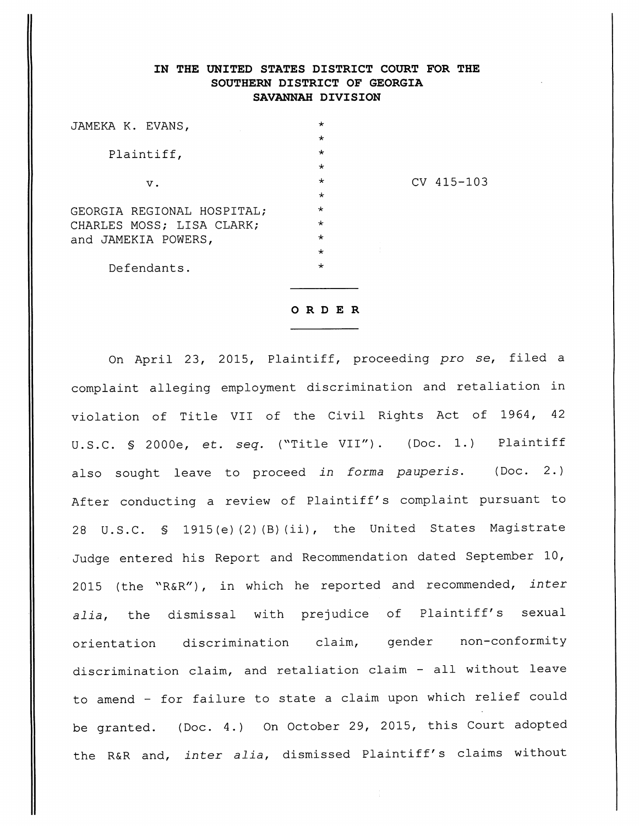## IN THE UNITED STATES DISTRICT COURT FOR THE SOUTHERN DISTRICT OF GEORGIA SAVANNAH DIVISION

| JAMEKA K. EVANS,           | $^\star$ |              |
|----------------------------|----------|--------------|
|                            | $\star$  |              |
| Plaintiff,                 | $\star$  |              |
|                            | $\star$  |              |
| $V$ .                      | $\star$  | $CV$ 415-103 |
|                            | $\star$  |              |
| GEORGIA REGIONAL HOSPITAL; | $\star$  |              |
| CHARLES MOSS; LISA CLARK;  | $\star$  |              |
| and JAMEKIA POWERS,        | $\star$  |              |
|                            | $\star$  |              |
| Defendants.                | $\star$  |              |
|                            |          |              |

*ORDER*

On April 23, 2015, Plaintiff, proceeding **pro se,** filed a complaint alleging employment discrimination and retaliation in violation of Title VII of the Civil Rights Act of 1964, 42 U.S.C. § 2000e, et. **seq.** ("Title VII"). (Doc. 1.) Plaintiff also sought leave to proceed **in forma pauperis.** (Doc. 2.) After conducting a review of Plaintiff's complaint pursuant to 28 U.S.C. § 1915(e) (2) (B) (ii), the United States Magistrate Judge entered his Report and Recommendation dated September 10, 2015 (the "R&R"), in which he reported and recommended, **inter alia,** the dismissal with prejudice of Plaintiff's sexual orientation discrimination claim, gender non-conformity discrimination claim, and retaliation claim - all without leave to amend - for failure to state a claim upon which relief could be granted. (Doc. 4.) On October 29, 2015, this Court adopted the R&R and, **inter alia,** dismissed Plaintiff's claims without